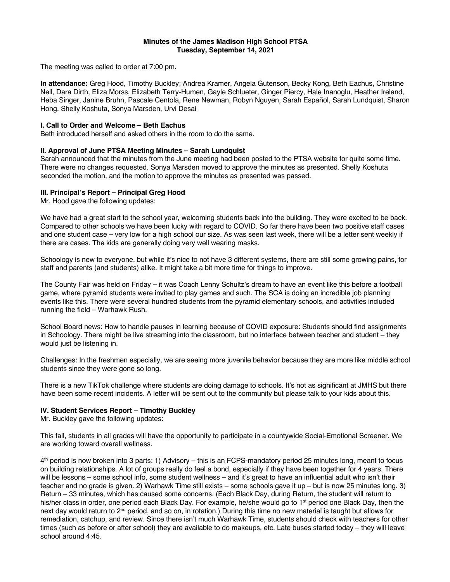#### **Minutes of the James Madison High School PTSA Tuesday, September 14, 2021**

The meeting was called to order at 7:00 pm.

**In attendance:** Greg Hood, Timothy Buckley; Andrea Kramer, Angela Gutenson, Becky Kong, Beth Eachus, Christine Nell, Dara Dirth, Eliza Morss, Elizabeth Terry-Humen, Gayle Schlueter, Ginger Piercy, Hale Inanoglu, Heather Ireland, Heba Singer, Janine Bruhn, Pascale Centola, Rene Newman, Robyn Nguyen, Sarah Español, Sarah Lundquist, Sharon Hong, Shelly Koshuta, Sonya Marsden, Urvi Desai

### **I. Call to Order and Welcome – Beth Eachus**

Beth introduced herself and asked others in the room to do the same.

## **II. Approval of June PTSA Meeting Minutes – Sarah Lundquist**

Sarah announced that the minutes from the June meeting had been posted to the PTSA website for quite some time. There were no changes requested. Sonya Marsden moved to approve the minutes as presented. Shelly Koshuta seconded the motion, and the motion to approve the minutes as presented was passed.

#### **III. Principal's Report – Principal Greg Hood**

Mr. Hood gave the following updates:

We have had a great start to the school year, welcoming students back into the building. They were excited to be back. Compared to other schools we have been lucky with regard to COVID. So far there have been two positive staff cases and one student case – very low for a high school our size. As was seen last week, there will be a letter sent weekly if there are cases. The kids are generally doing very well wearing masks.

Schoology is new to everyone, but while it's nice to not have 3 different systems, there are still some growing pains, for staff and parents (and students) alike. It might take a bit more time for things to improve.

The County Fair was held on Friday – it was Coach Lenny Schultz's dream to have an event like this before a football game, where pyramid students were invited to play games and such. The SCA is doing an incredible job planning events like this. There were several hundred students from the pyramid elementary schools, and activities included running the field – Warhawk Rush.

School Board news: How to handle pauses in learning because of COVID exposure: Students should find assignments in Schoology. There might be live streaming into the classroom, but no interface between teacher and student – they would just be listening in.

Challenges: In the freshmen especially, we are seeing more juvenile behavior because they are more like middle school students since they were gone so long.

There is a new TikTok challenge where students are doing damage to schools. It's not as significant at JMHS but there have been some recent incidents. A letter will be sent out to the community but please talk to your kids about this.

## **IV. Student Services Report – Timothy Buckley**

Mr. Buckley gave the following updates:

This fall, students in all grades will have the opportunity to participate in a countywide Social-Emotional Screener. We are working toward overall wellness.

4<sup>th</sup> period is now broken into 3 parts: 1) Advisory – this is an FCPS-mandatory period 25 minutes long, meant to focus on building relationships. A lot of groups really do feel a bond, especially if they have been together for 4 years. There will be lessons – some school info, some student wellness – and it's great to have an influential adult who isn't their teacher and no grade is given. 2) Warhawk Time still exists – some schools gave it up – but is now 25 minutes long. 3) Return – 33 minutes, which has caused some concerns. (Each Black Day, during Return, the student will return to his/her class in order, one period each Black Day. For example, he/she would go to 1<sup>st</sup> period one Black Day, then the next day would return to  $2<sup>nd</sup>$  period, and so on, in rotation.) During this time no new material is taught but allows for remediation, catchup, and review. Since there isn't much Warhawk Time, students should check with teachers for other times (such as before or after school) they are available to do makeups, etc. Late buses started today – they will leave school around 4:45.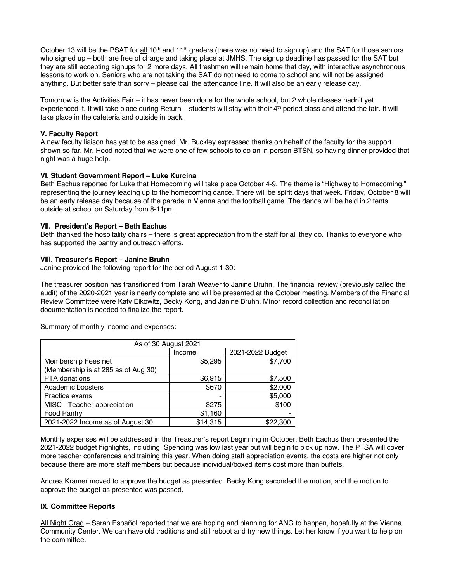October 13 will be the PSAT for all 10<sup>th</sup> and 11<sup>th</sup> graders (there was no need to sign up) and the SAT for those seniors who signed up – both are free of charge and taking place at JMHS. The signup deadline has passed for the SAT but they are still accepting signups for 2 more days. All freshmen will remain home that day, with interactive asynchronous lessons to work on. Seniors who are not taking the SAT do not need to come to school and will not be assigned anything. But better safe than sorry – please call the attendance line. It will also be an early release day.

Tomorrow is the Activities Fair – it has never been done for the whole school, but 2 whole classes hadn't yet experienced it. It will take place during Return – students will stay with their 4th period class and attend the fair. It will take place in the cafeteria and outside in back.

## **V. Faculty Report**

A new faculty liaison has yet to be assigned. Mr. Buckley expressed thanks on behalf of the faculty for the support shown so far. Mr. Hood noted that we were one of few schools to do an in-person BTSN, so having dinner provided that night was a huge help.

# **VI. Student Government Report – Luke Kurcina**

Beth Eachus reported for Luke that Homecoming will take place October 4-9. The theme is "Highway to Homecoming," representing the journey leading up to the homecoming dance. There will be spirit days that week. Friday, October 8 will be an early release day because of the parade in Vienna and the football game. The dance will be held in 2 tents outside at school on Saturday from 8-11pm.

# **VII. President's Report – Beth Eachus**

Beth thanked the hospitality chairs – there is great appreciation from the staff for all they do. Thanks to everyone who has supported the pantry and outreach efforts.

# **VIII. Treasurer's Report – Janine Bruhn**

Janine provided the following report for the period August 1-30:

The treasurer position has transitioned from Tarah Weaver to Janine Bruhn. The financial review (previously called the audit) of the 2020-2021 year is nearly complete and will be presented at the October meeting. Members of the Financial Review Committee were Katy Elkowitz, Becky Kong, and Janine Bruhn. Minor record collection and reconciliation documentation is needed to finalize the report.

As of 30 August 2021 Income 2021-2022 Budget Membership Fees net (Membership is at 285 as of Aug 30)  $$5.295$   $$7.700$ PTA donations  $\begin{array}{ccc} \bullet & \bullet & \bullet \\ \bullet & \bullet & \bullet \end{array}$  \$6.915  $\begin{array}{ccc} \bullet & \bullet & \bullet \\ \bullet & \bullet & \bullet \end{array}$  \$7.500 Academic boosters **being a set of the set of the set of the set of the set of the set of the set of the set of the set of the set of the set of the set of the set of the set of the set of the set of the set of the set of t** Practice exams and the state of the state of the state of the state of the state  $\sim$  \$5,000 MISC - Teacher appreciation  $$275$  | \$100  $\sim$  Food Pantry  $\sim$  1,160  $2021 - 2022$  Income as of August 30  $\parallel$  \$14,315  $\parallel$  \$22,300

Summary of monthly income and expenses:

Monthly expenses will be addressed in the Treasurer's report beginning in October. Beth Eachus then presented the 2021-2022 budget highlights, including: Spending was low last year but will begin to pick up now. The PTSA will cover more teacher conferences and training this year. When doing staff appreciation events, the costs are higher not only because there are more staff members but because individual/boxed items cost more than buffets.

Andrea Kramer moved to approve the budget as presented. Becky Kong seconded the motion, and the motion to approve the budget as presented was passed.

## **IX. Committee Reports**

All Night Grad – Sarah Español reported that we are hoping and planning for ANG to happen, hopefully at the Vienna Community Center. We can have old traditions and still reboot and try new things. Let her know if you want to help on the committee.